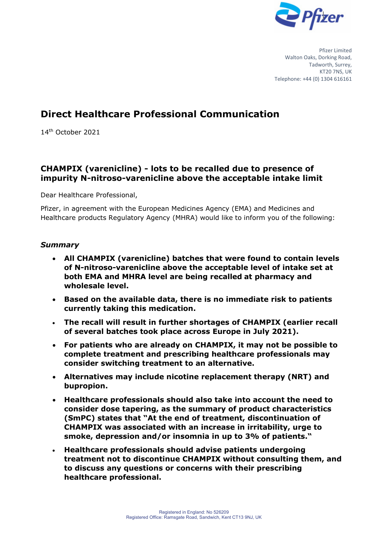

Pfizer Limited Walton Oaks, Dorking Road, Tadworth, Surrey, KT20 7NS, LIK Telephone: +44 (0) 1304 616161

# **Direct Healthcare Professional Communication**

14th October 2021

## **CHAMPIX (varenicline) - lots to be recalled due to presence of impurity N-nitroso-varenicline above the acceptable intake limit**

Dear Healthcare Professional,

Pfizer, in agreement with the European Medicines Agency (EMA) and Medicines and Healthcare products Regulatory Agency (MHRA) would like to inform you of the following:

#### *Summary*

- **All CHAMPIX (varenicline) batches that were found to contain levels of N-nitroso-varenicline above the acceptable level of intake set at both EMA and MHRA level are being recalled at pharmacy and wholesale level.**
- **Based on the available data, there is no immediate risk to patients currently taking this medication.**
- **The recall will result in further shortages of CHAMPIX (earlier recall of several batches took place across Europe in July 2021).**
- **For patients who are already on CHAMPIX, it may not be possible to complete treatment and prescribing healthcare professionals may consider switching treatment to an alternative.**
- **Alternatives may include nicotine replacement therapy (NRT) and bupropion.**
- **Healthcare professionals should also take into account the need to consider dose tapering, as the summary of product characteristics (SmPC) states that "At the end of treatment, discontinuation of CHAMPIX was associated with an increase in irritability, urge to smoke, depression and/or insomnia in up to 3% of patients."**
- **Healthcare professionals should advise patients undergoing treatment not to discontinue CHAMPIX without consulting them, and to discuss any questions or concerns with their prescribing healthcare professional.**